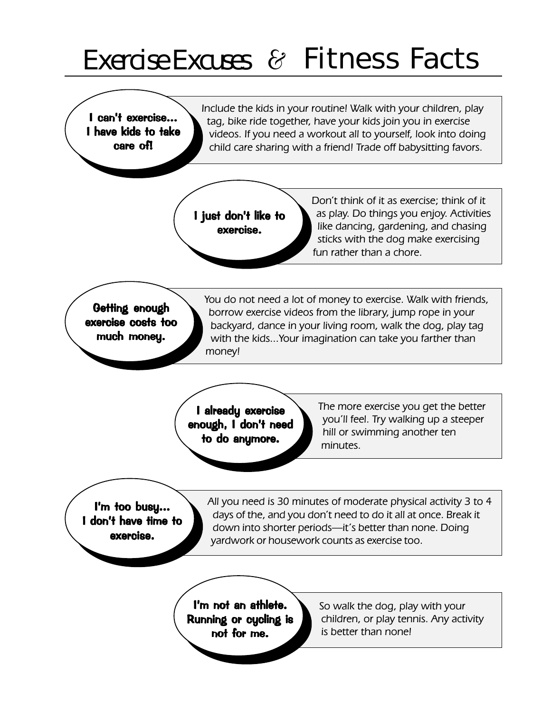## Exercise Excuses & Fitness Facts